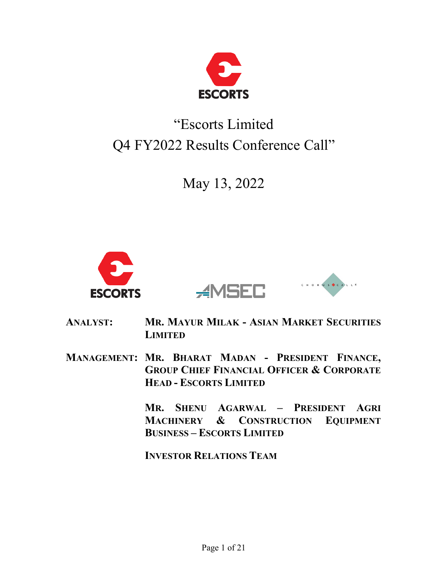

# "Escorts Limited Q4 FY2022 Results Conference Call"

May 13, 2022





- **ANALYST: MR. MAYUR MILAK - ASIAN MARKET SECURITIES LIMITED**
- **MANAGEMENT: MR. BHARAT MADAN - PRESIDENT FINANCE, GROUP CHIEF FINANCIAL OFFICER & CORPORATE HEAD - ESCORTS LIMITED**

**MR. SHENU AGARWAL – PRESIDENT AGRI MACHINERY & CONSTRUCTION EQUIPMENT BUSINESS – ESCORTS LIMITED**

**INVESTOR RELATIONS TEAM**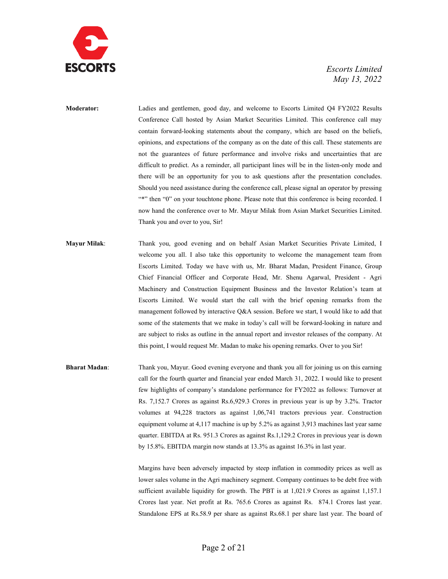

**Moderator:** Ladies and gentlemen, good day, and welcome to Escorts Limited Q4 FY2022 Results Conference Call hosted by Asian Market Securities Limited. This conference call may contain forward-looking statements about the company, which are based on the beliefs, opinions, and expectations of the company as on the date of this call. These statements are not the guarantees of future performance and involve risks and uncertainties that are difficult to predict. As a reminder, all participant lines will be in the listen-only mode and there will be an opportunity for you to ask questions after the presentation concludes. Should you need assistance during the conference call, please signal an operator by pressing "\*" then "0" on your touchtone phone. Please note that this conference is being recorded. I now hand the conference over to Mr. Mayur Milak from Asian Market Securities Limited. Thank you and over to you, Sir!

**Mayur Milak**: Thank you, good evening and on behalf Asian Market Securities Private Limited, I welcome you all. I also take this opportunity to welcome the management team from Escorts Limited. Today we have with us, Mr. Bharat Madan, President Finance, Group Chief Financial Officer and Corporate Head, Mr. Shenu Agarwal, President - Agri Machinery and Construction Equipment Business and the Investor Relation's team at Escorts Limited. We would start the call with the brief opening remarks from the management followed by interactive Q&A session. Before we start, I would like to add that some of the statements that we make in today's call will be forward-looking in nature and are subject to risks as outline in the annual report and investor releases of the company. At this point, I would request Mr. Madan to make his opening remarks. Over to you Sir!

**Bharat Madan**: Thank you, Mayur. Good evening everyone and thank you all for joining us on this earning call for the fourth quarter and financial year ended March 31, 2022. I would like to present few highlights of company's standalone performance for FY2022 as follows: Turnover at Rs. 7,152.7 Crores as against Rs.6,929.3 Crores in previous year is up by 3.2%. Tractor volumes at 94,228 tractors as against 1,06,741 tractors previous year. Construction equipment volume at 4,117 machine is up by 5.2% as against 3,913 machines last year same quarter. EBITDA at Rs. 951.3 Crores as against Rs.1,129.2 Crores in previous year is down by 15.8%. EBITDA margin now stands at 13.3% as against 16.3% in last year.

> Margins have been adversely impacted by steep inflation in commodity prices as well as lower sales volume in the Agri machinery segment. Company continues to be debt free with sufficient available liquidity for growth. The PBT is at 1,021.9 Crores as against 1,157.1 Crores last year. Net profit at Rs. 765.6 Crores as against Rs. 874.1 Crores last year. Standalone EPS at Rs.58.9 per share as against Rs.68.1 per share last year. The board of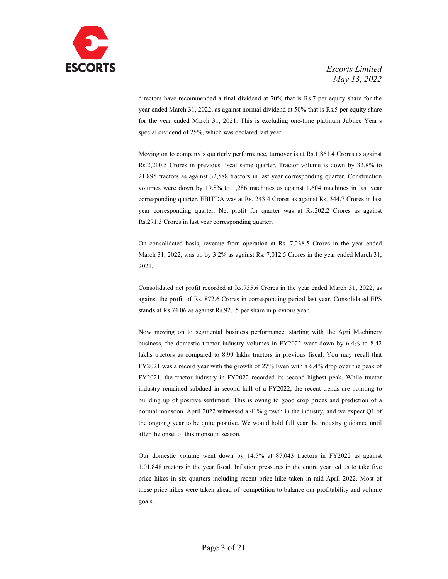

directors have recommended a final dividend at 70% that is Rs.7 per equity share for the year ended March 31, 2022, as against normal dividend at 50% that is Rs.5 per equity share for the year ended March 31, 2021. This is excluding one-time platinum Jubilee Year's special dividend of 25%, which was declared last year.

Moving on to company's quarterly performance, turnover is at Rs.1,861.4 Crores as against Rs.2,210.5 Crores in previous fiscal same quarter. Tractor volume is down by 32.8% to 21,895 tractors as against 32,588 tractors in last year corresponding quarter. Construction volumes were down by 19.8% to 1,286 machines as against 1,604 machines in last year corresponding quarter. EBITDA was at Rs. 243.4 Crores as against Rs. 344.7 Crores in last year corresponding quarter. Net profit for quarter was at Rs.202.2 Crores as against Rs.271.3 Crores in last year corresponding quarter.

On consolidated basis, revenue from operation at Rs. 7,238.5 Crores in the year ended March 31, 2022, was up by 3.2% as against Rs. 7,012.5 Crores in the year ended March 31, 2021.

Consolidated net profit recorded at Rs.735.6 Crores in the year ended March 31, 2022, as against the profit of Rs. 872.6 Crores in corresponding period last year. Consolidated EPS stands at Rs.74.06 as against Rs.92.15 per share in previous year.

Now moving on to segmental business performance, starting with the Agri Machinery business, the domestic tractor industry volumes in FY2022 went down by 6.4% to 8.42 lakhs tractors as compared to 8.99 lakhs tractors in previous fiscal. You may recall that FY2021 was a record year with the growth of 27% Even with a 6.4% drop over the peak of FY2021, the tractor industry in FY2022 recorded its second highest peak. While tractor industry remained subdued in second half of a FY2022, the recent trends are pointing to building up of positive sentiment. This is owing to good crop prices and prediction of a normal monsoon. April 2022 witnessed a 41% growth in the industry, and we expect Q1 of the ongoing year to be quite positive. We would hold full year the industry guidance until after the onset of this monsoon season.

Our domestic volume went down by 14.5% at 87,043 tractors in FY2022 as against 1,01,848 tractors in the year fiscal. Inflation pressures in the entire year led us to take five price hikes in six quarters including recent price hike taken in mid-April 2022. Most of these price hikes were taken ahead of competition to balance our profitability and volume goals.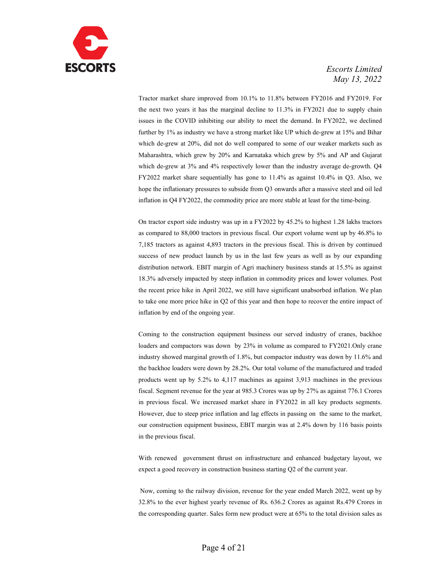

Tractor market share improved from 10.1% to 11.8% between FY2016 and FY2019. For the next two years it has the marginal decline to 11.3% in FY2021 due to supply chain issues in the COVID inhibiting our ability to meet the demand. In FY2022, we declined further by 1% as industry we have a strong market like UP which de-grew at 15% and Bihar which de-grew at 20%, did not do well compared to some of our weaker markets such as Maharashtra, which grew by 20% and Karnataka which grew by 5% and AP and Gujarat which de-grew at 3% and 4% respectively lower than the industry average de-growth. Q4 FY2022 market share sequentially has gone to 11.4% as against 10.4% in Q3. Also, we hope the inflationary pressures to subside from Q3 onwards after a massive steel and oil led inflation in Q4 FY2022, the commodity price are more stable at least for the time-being.

On tractor export side industry was up in a FY2022 by 45.2% to highest 1.28 lakhs tractors as compared to 88,000 tractors in previous fiscal. Our export volume went up by 46.8% to 7,185 tractors as against 4,893 tractors in the previous fiscal. This is driven by continued success of new product launch by us in the last few years as well as by our expanding distribution network. EBIT margin of Agri machinery business stands at 15.5% as against 18.3% adversely impacted by steep inflation in commodity prices and lower volumes. Post the recent price hike in April 2022, we still have significant unabsorbed inflation. We plan to take one more price hike in Q2 of this year and then hope to recover the entire impact of inflation by end of the ongoing year.

Coming to the construction equipment business our served industry of cranes, backhoe loaders and compactors was down by 23% in volume as compared to FY2021.Only crane industry showed marginal growth of 1.8%, but compactor industry was down by 11.6% and the backhoe loaders were down by 28.2%. Our total volume of the manufactured and traded products went up by 5.2% to 4,117 machines as against 3,913 machines in the previous fiscal. Segment revenue for the year at 985.3 Crores was up by 27% as against 776.1 Crores in previous fiscal. We increased market share in FY2022 in all key products segments. However, due to steep price inflation and lag effects in passing on the same to the market, our construction equipment business, EBIT margin was at 2.4% down by 116 basis points in the previous fiscal.

With renewed government thrust on infrastructure and enhanced budgetary layout, we expect a good recovery in construction business starting Q2 of the current year.

Now, coming to the railway division, revenue for the year ended March 2022, went up by 32.8% to the ever highest yearly revenue of Rs. 636.2 Crores as against Rs.479 Crores in the corresponding quarter. Sales form new product were at 65% to the total division sales as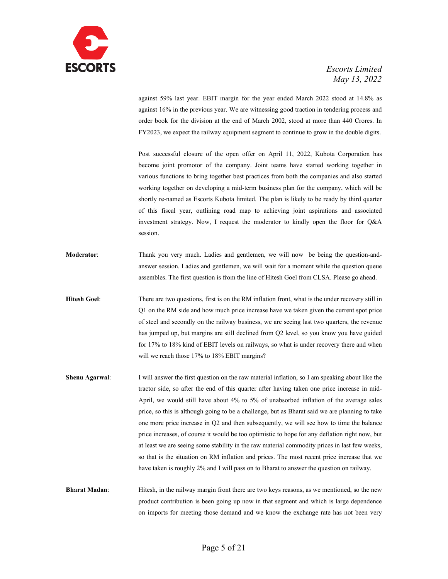

against 59% last year. EBIT margin for the year ended March 2022 stood at 14.8% as against 16% in the previous year. We are witnessing good traction in tendering process and order book for the division at the end of March 2002, stood at more than 440 Crores. In FY2023, we expect the railway equipment segment to continue to grow in the double digits.

Post successful closure of the open offer on April 11, 2022, Kubota Corporation has become joint promotor of the company. Joint teams have started working together in various functions to bring together best practices from both the companies and also started working together on developing a mid-term business plan for the company, which will be shortly re-named as Escorts Kubota limited. The plan is likely to be ready by third quarter of this fiscal year, outlining road map to achieving joint aspirations and associated investment strategy. Now, I request the moderator to kindly open the floor for Q&A session.

- **Moderator:** Thank you very much. Ladies and gentlemen, we will now be being the question-andanswer session. Ladies and gentlemen, we will wait for a moment while the question queue assembles. The first question is from the line of Hitesh Goel from CLSA. Please go ahead.
- **Hitesh Goel**: There are two questions, first is on the RM inflation front, what is the under recovery still in Q1 on the RM side and how much price increase have we taken given the current spot price of steel and secondly on the railway business, we are seeing last two quarters, the revenue has jumped up, but margins are still declined from Q2 level, so you know you have guided for 17% to 18% kind of EBIT levels on railways, so what is under recovery there and when will we reach those 17% to 18% EBIT margins?
- **Shenu Agarwal:** I will answer the first question on the raw material inflation, so I am speaking about like the tractor side, so after the end of this quarter after having taken one price increase in mid-April, we would still have about 4% to 5% of unabsorbed inflation of the average sales price, so this is although going to be a challenge, but as Bharat said we are planning to take one more price increase in Q2 and then subsequently, we will see how to time the balance price increases, of course it would be too optimistic to hope for any deflation right now, but at least we are seeing some stability in the raw material commodity prices in last few weeks, so that is the situation on RM inflation and prices. The most recent price increase that we have taken is roughly 2% and I will pass on to Bharat to answer the question on railway.

**Bharat Madan:** Hitesh, in the railway margin front there are two keys reasons, as we mentioned, so the new product contribution is been going up now in that segment and which is large dependence on imports for meeting those demand and we know the exchange rate has not been very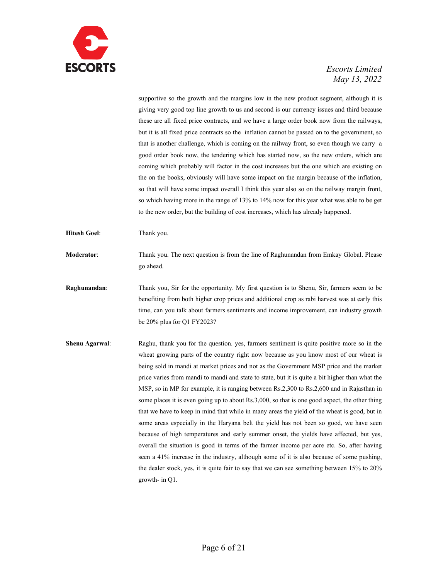

supportive so the growth and the margins low in the new product segment, although it is giving very good top line growth to us and second is our currency issues and third because these are all fixed price contracts, and we have a large order book now from the railways, but it is all fixed price contracts so the inflation cannot be passed on to the government, so that is another challenge, which is coming on the railway front, so even though we carry a good order book now, the tendering which has started now, so the new orders, which are coming which probably will factor in the cost increases but the one which are existing on the on the books, obviously will have some impact on the margin because of the inflation, so that will have some impact overall I think this year also so on the railway margin front, so which having more in the range of 13% to 14% now for this year what was able to be get to the new order, but the building of cost increases, which has already happened.

**Hitesh Goel**: Thank you.

**Moderator**: Thank you. The next question is from the line of Raghunandan from Emkay Global. Please go ahead.

- **Raghunandan:** Thank you, Sir for the opportunity. My first question is to Shenu, Sir, farmers seem to be benefiting from both higher crop prices and additional crop as rabi harvest was at early this time, can you talk about farmers sentiments and income improvement, can industry growth be 20% plus for Q1 FY2023?
- **Shenu Agarwal:** Raghu, thank you for the question. yes, farmers sentiment is quite positive more so in the wheat growing parts of the country right now because as you know most of our wheat is being sold in mandi at market prices and not as the Government MSP price and the market price varies from mandi to mandi and state to state, but it is quite a bit higher than what the MSP, so in MP for example, it is ranging between Rs.2,300 to Rs.2,600 and in Rajasthan in some places it is even going up to about Rs.3,000, so that is one good aspect, the other thing that we have to keep in mind that while in many areas the yield of the wheat is good, but in some areas especially in the Haryana belt the yield has not been so good, we have seen because of high temperatures and early summer onset, the yields have affected, but yes, overall the situation is good in terms of the farmer income per acre etc. So, after having seen a 41% increase in the industry, although some of it is also because of some pushing, the dealer stock, yes, it is quite fair to say that we can see something between 15% to 20% growth- in Q1.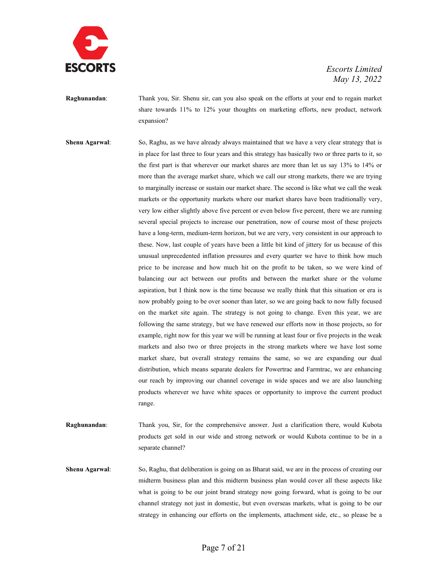

**Raghunandan**: Thank you, Sir. Shenu sir, can you also speak on the efforts at your end to regain market share towards 11% to 12% your thoughts on marketing efforts, new product, network expansion?

**Shenu Agarwal:** So, Raghu, as we have already always maintained that we have a very clear strategy that is in place for last three to four years and this strategy has basically two or three parts to it, so the first part is that wherever our market shares are more than let us say 13% to 14% or more than the average market share, which we call our strong markets, there we are trying to marginally increase or sustain our market share. The second is like what we call the weak markets or the opportunity markets where our market shares have been traditionally very, very low either slightly above five percent or even below five percent, there we are running several special projects to increase our penetration, now of course most of these projects have a long-term, medium-term horizon, but we are very, very consistent in our approach to these. Now, last couple of years have been a little bit kind of jittery for us because of this unusual unprecedented inflation pressures and every quarter we have to think how much price to be increase and how much hit on the profit to be taken, so we were kind of balancing our act between our profits and between the market share or the volume aspiration, but I think now is the time because we really think that this situation or era is now probably going to be over sooner than later, so we are going back to now fully focused on the market site again. The strategy is not going to change. Even this year, we are following the same strategy, but we have renewed our efforts now in those projects, so for example, right now for this year we will be running at least four or five projects in the weak markets and also two or three projects in the strong markets where we have lost some market share, but overall strategy remains the same, so we are expanding our dual distribution, which means separate dealers for Powertrac and Farmtrac, we are enhancing our reach by improving our channel coverage in wide spaces and we are also launching products wherever we have white spaces or opportunity to improve the current product range.

**Raghunandan**: Thank you, Sir, for the comprehensive answer. Just a clarification there, would Kubota products get sold in our wide and strong network or would Kubota continue to be in a separate channel?

**Shenu Agarwal**: So, Raghu, that deliberation is going on as Bharat said, we are in the process of creating our midterm business plan and this midterm business plan would cover all these aspects like what is going to be our joint brand strategy now going forward, what is going to be our channel strategy not just in domestic, but even overseas markets, what is going to be our strategy in enhancing our efforts on the implements, attachment side, etc., so please be a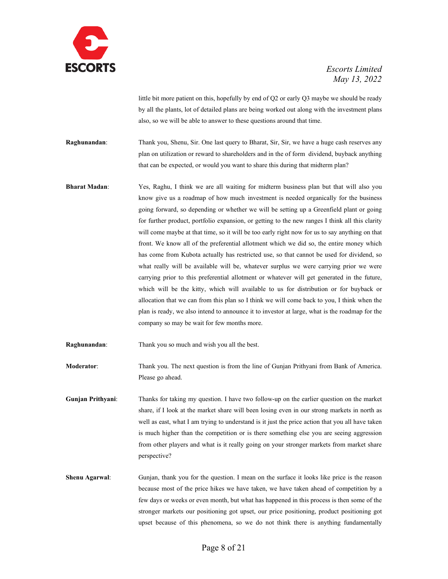

little bit more patient on this, hopefully by end of Q2 or early Q3 maybe we should be ready by all the plants, lot of detailed plans are being worked out along with the investment plans also, so we will be able to answer to these questions around that time.

**Raghunandan:** Thank you, Shenu, Sir. One last query to Bharat, Sir, Sir, we have a huge cash reserves any plan on utilization or reward to shareholders and in the of form dividend, buyback anything that can be expected, or would you want to share this during that midterm plan?

**Bharat Madan**: Yes, Raghu, I think we are all waiting for midterm business plan but that will also you know give us a roadmap of how much investment is needed organically for the business going forward, so depending or whether we will be setting up a Greenfield plant or going for further product, portfolio expansion, or getting to the new ranges I think all this clarity will come maybe at that time, so it will be too early right now for us to say anything on that front. We know all of the preferential allotment which we did so, the entire money which has come from Kubota actually has restricted use, so that cannot be used for dividend, so what really will be available will be, whatever surplus we were carrying prior we were carrying prior to this preferential allotment or whatever will get generated in the future, which will be the kitty, which will available to us for distribution or for buyback or allocation that we can from this plan so I think we will come back to you, I think when the plan is ready, we also intend to announce it to investor at large, what is the roadmap for the company so may be wait for few months more.

**Raghunandan**: Thank you so much and wish you all the best.

**Moderator**: Thank you. The next question is from the line of Gunjan Prithyani from Bank of America. Please go ahead.

**Gunjan Prithyani**: Thanks for taking my question. I have two follow-up on the earlier question on the market share, if I look at the market share will been losing even in our strong markets in north as well as east, what I am trying to understand is it just the price action that you all have taken is much higher than the competition or is there something else you are seeing aggression from other players and what is it really going on your stronger markets from market share perspective?

**Shenu Agarwal:** Gunjan, thank you for the question. I mean on the surface it looks like price is the reason because most of the price hikes we have taken, we have taken ahead of competition by a few days or weeks or even month, but what has happened in this process is then some of the stronger markets our positioning got upset, our price positioning, product positioning got upset because of this phenomena, so we do not think there is anything fundamentally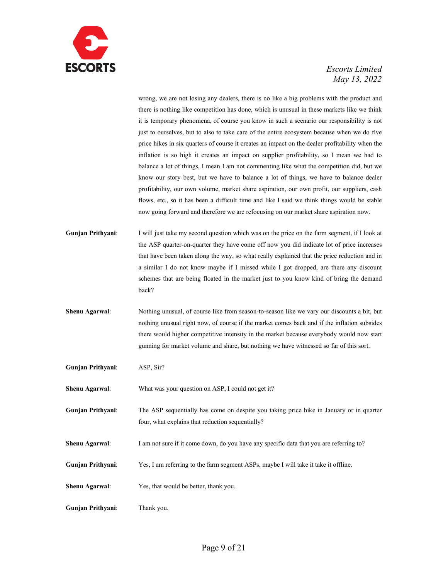

wrong, we are not losing any dealers, there is no like a big problems with the product and there is nothing like competition has done, which is unusual in these markets like we think it is temporary phenomena, of course you know in such a scenario our responsibility is not just to ourselves, but to also to take care of the entire ecosystem because when we do five price hikes in six quarters of course it creates an impact on the dealer profitability when the inflation is so high it creates an impact on supplier profitability, so I mean we had to balance a lot of things, I mean I am not commenting like what the competition did, but we know our story best, but we have to balance a lot of things, we have to balance dealer profitability, our own volume, market share aspiration, our own profit, our suppliers, cash flows, etc., so it has been a difficult time and like I said we think things would be stable now going forward and therefore we are refocusing on our market share aspiration now.

- **Gunjan Prithyani**: I will just take my second question which was on the price on the farm segment, if I look at the ASP quarter-on-quarter they have come off now you did indicate lot of price increases that have been taken along the way, so what really explained that the price reduction and in a similar I do not know maybe if I missed while I got dropped, are there any discount schemes that are being floated in the market just to you know kind of bring the demand back?
- **Shenu Agarwal**: Nothing unusual, of course like from season-to-season like we vary our discounts a bit, but nothing unusual right now, of course if the market comes back and if the inflation subsides there would higher competitive intensity in the market because everybody would now start gunning for market volume and share, but nothing we have witnessed so far of this sort.
- **Gunjan Prithyani**: ASP, Sir?

**Shenu Agarwal**: What was your question on ASP, I could not get it?

**Gunjan Prithyani**: The ASP sequentially has come on despite you taking price hike in January or in quarter four, what explains that reduction sequentially?

**Shenu Agarwal:** I am not sure if it come down, do you have any specific data that you are referring to?

- **Gunjan Prithyani**: Yes, I am referring to the farm segment ASPs, maybe I will take it take it offline.
- **Shenu Agarwal**: Yes, that would be better, thank you.
- **Gunjan Prithyani**: Thank you.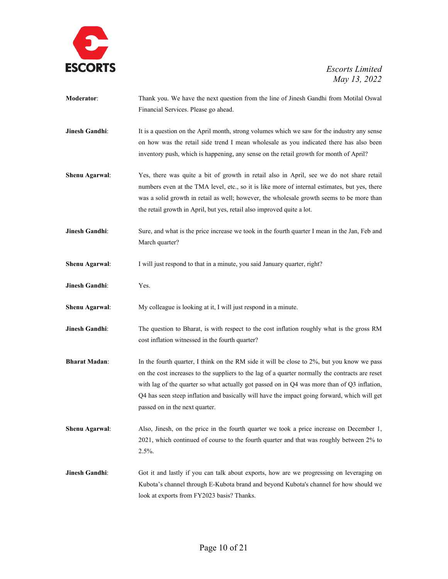

- **Moderator**: Thank you. We have the next question from the line of Jinesh Gandhi from Motilal Oswal Financial Services. Please go ahead.
- **Jinesh Gandhi:** It is a question on the April month, strong volumes which we saw for the industry any sense on how was the retail side trend I mean wholesale as you indicated there has also been inventory push, which is happening, any sense on the retail growth for month of April?
- **Shenu Agarwal**: Yes, there was quite a bit of growth in retail also in April, see we do not share retail numbers even at the TMA level, etc., so it is like more of internal estimates, but yes, there was a solid growth in retail as well; however, the wholesale growth seems to be more than the retail growth in April, but yes, retail also improved quite a lot.
- **Jinesh Gandhi**: Sure, and what is the price increase we took in the fourth quarter I mean in the Jan, Feb and March quarter?
- **Shenu Agarwal:** I will just respond to that in a minute, you said January quarter, right?
- **Jinesh Gandhi**: Yes.

**Shenu Agarwal**: My colleague is looking at it, I will just respond in a minute.

- **Jinesh Gandhi**: The question to Bharat, is with respect to the cost inflation roughly what is the gross RM cost inflation witnessed in the fourth quarter?
- **Bharat Madan**: In the fourth quarter, I think on the RM side it will be close to 2%, but you know we pass on the cost increases to the suppliers to the lag of a quarter normally the contracts are reset with lag of the quarter so what actually got passed on in Q4 was more than of Q3 inflation, Q4 has seen steep inflation and basically will have the impact going forward, which will get passed on in the next quarter.
- **Shenu Agarwal:** Also, Jinesh, on the price in the fourth quarter we took a price increase on December 1, 2021, which continued of course to the fourth quarter and that was roughly between 2% to 2.5%.
- **Jinesh Gandhi:** Got it and lastly if you can talk about exports, how are we progressing on leveraging on Kubota's channel through E-Kubota brand and beyond Kubota's channel for how should we look at exports from FY2023 basis? Thanks.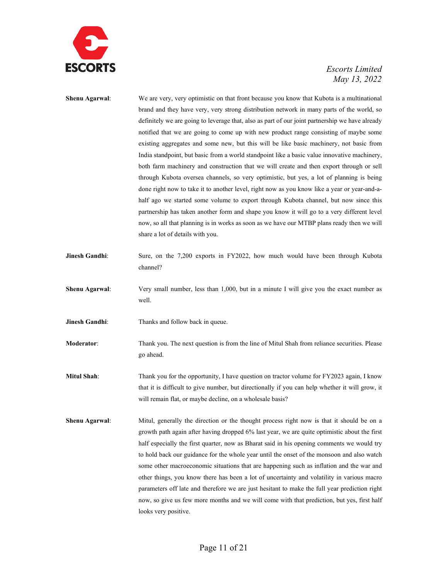

| <b>Shenu Agarwal:</b> | We are very, very optimistic on that front because you know that Kubota is a multinational      |
|-----------------------|-------------------------------------------------------------------------------------------------|
|                       | brand and they have very, very strong distribution network in many parts of the world, so       |
|                       | definitely we are going to leverage that, also as part of our joint partnership we have already |
|                       | notified that we are going to come up with new product range consisting of maybe some           |
|                       | existing aggregates and some new, but this will be like basic machinery, not basic from         |
|                       | India standpoint, but basic from a world standpoint like a basic value innovative machinery,    |
|                       | both farm machinery and construction that we will create and then export through or sell        |
|                       | through Kubota oversea channels, so very optimistic, but yes, a lot of planning is being        |
|                       | done right now to take it to another level, right now as you know like a year or year-and-a-    |
|                       | half ago we started some volume to export through Kubota channel, but now since this            |
|                       | partnership has taken another form and shape you know it will go to a very different level      |
|                       | now, so all that planning is in works as soon as we have our MTBP plans ready then we will      |
|                       | share a lot of details with you.                                                                |
|                       |                                                                                                 |
| Jinesh Gandhi:        | Sure, on the 7,200 exports in FY2022, how much would have been through Kubota                   |
|                       | channel?                                                                                        |
|                       |                                                                                                 |

**Shenu Agarwal**: Very small number, less than 1,000, but in a minute I will give you the exact number as well.

**Jinesh Gandhi:** Thanks and follow back in queue.

**Moderator**: Thank you. The next question is from the line of Mitul Shah from reliance securities. Please go ahead.

- **Mitul Shah:** Thank you for the opportunity, I have question on tractor volume for FY2023 again, I know that it is difficult to give number, but directionally if you can help whether it will grow, it will remain flat, or maybe decline, on a wholesale basis?
- **Shenu Agarwal:** Mitul, generally the direction or the thought process right now is that it should be on a growth path again after having dropped 6% last year, we are quite optimistic about the first half especially the first quarter, now as Bharat said in his opening comments we would try to hold back our guidance for the whole year until the onset of the monsoon and also watch some other macroeconomic situations that are happening such as inflation and the war and other things, you know there has been a lot of uncertainty and volatility in various macro parameters off late and therefore we are just hesitant to make the full year prediction right now, so give us few more months and we will come with that prediction, but yes, first half looks very positive.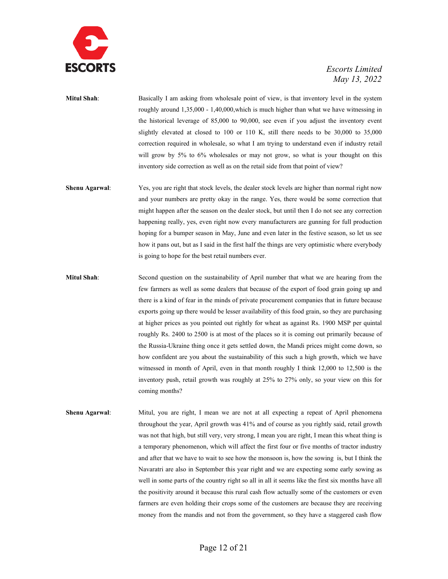

**Mitul Shah**: Basically I am asking from wholesale point of view, is that inventory level in the system roughly around 1,35,000 - 1,40,000,which is much higher than what we have witnessing in the historical leverage of 85,000 to 90,000, see even if you adjust the inventory event slightly elevated at closed to 100 or 110 K, still there needs to be 30,000 to 35,000 correction required in wholesale, so what I am trying to understand even if industry retail will grow by 5% to 6% wholesales or may not grow, so what is your thought on this inventory side correction as well as on the retail side from that point of view?

**Shenu Agarwal**: Yes, you are right that stock levels, the dealer stock levels are higher than normal right now and your numbers are pretty okay in the range. Yes, there would be some correction that might happen after the season on the dealer stock, but until then I do not see any correction happening really, yes, even right now every manufacturers are gunning for full production hoping for a bumper season in May, June and even later in the festive season, so let us see how it pans out, but as I said in the first half the things are very optimistic where everybody is going to hope for the best retail numbers ever.

**Mitul Shah**: Second question on the sustainability of April number that what we are hearing from the few farmers as well as some dealers that because of the export of food grain going up and there is a kind of fear in the minds of private procurement companies that in future because exports going up there would be lesser availability of this food grain, so they are purchasing at higher prices as you pointed out rightly for wheat as against Rs. 1900 MSP per quintal roughly Rs. 2400 to 2500 is at most of the places so it is coming out primarily because of the Russia-Ukraine thing once it gets settled down, the Mandi prices might come down, so how confident are you about the sustainability of this such a high growth, which we have witnessed in month of April, even in that month roughly I think 12,000 to 12,500 is the inventory push, retail growth was roughly at 25% to 27% only, so your view on this for coming months?

**Shenu Agarwal:** Mitul, you are right, I mean we are not at all expecting a repeat of April phenomena throughout the year, April growth was 41% and of course as you rightly said, retail growth was not that high, but still very, very strong, I mean you are right, I mean this wheat thing is a temporary phenomenon, which will affect the first four or five months of tractor industry and after that we have to wait to see how the monsoon is, how the sowing is, but I think the Navaratri are also in September this year right and we are expecting some early sowing as well in some parts of the country right so all in all it seems like the first six months have all the positivity around it because this rural cash flow actually some of the customers or even farmers are even holding their crops some of the customers are because they are receiving money from the mandis and not from the government, so they have a staggered cash flow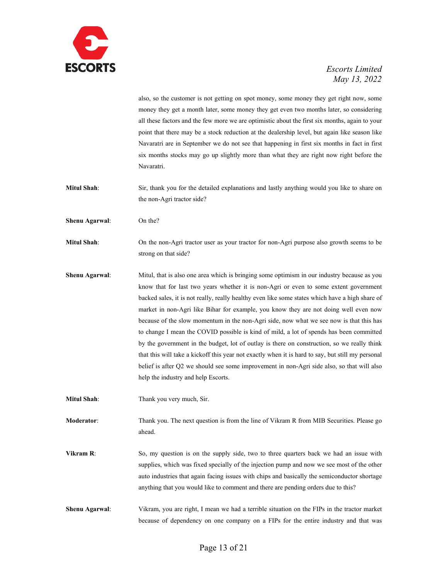

also, so the customer is not getting on spot money, some money they get right now, some money they get a month later, some money they get even two months later, so considering all these factors and the few more we are optimistic about the first six months, again to your point that there may be a stock reduction at the dealership level, but again like season like Navaratri are in September we do not see that happening in first six months in fact in first six months stocks may go up slightly more than what they are right now right before the Navaratri.

- **Mitul Shah**: Sir, thank you for the detailed explanations and lastly anything would you like to share on the non-Agri tractor side?
- **Shenu Agarwal**: On the?

**Mitul Shah**: On the non-Agri tractor user as your tractor for non-Agri purpose also growth seems to be strong on that side?

- **Shenu Agarwal:** Mitul, that is also one area which is bringing some optimism in our industry because as you know that for last two years whether it is non-Agri or even to some extent government backed sales, it is not really, really healthy even like some states which have a high share of market in non-Agri like Bihar for example, you know they are not doing well even now because of the slow momentum in the non-Agri side, now what we see now is that this has to change I mean the COVID possible is kind of mild, a lot of spends has been committed by the government in the budget, lot of outlay is there on construction, so we really think that this will take a kickoff this year not exactly when it is hard to say, but still my personal belief is after Q2 we should see some improvement in non-Agri side also, so that will also help the industry and help Escorts.
- **Mitul Shah:** Thank you very much, Sir.

**Moderator**: Thank you. The next question is from the line of Vikram R from MIB Securities. Please go ahead.

- **Vikram R:** So, my question is on the supply side, two to three quarters back we had an issue with supplies, which was fixed specially of the injection pump and now we see most of the other auto industries that again facing issues with chips and basically the semiconductor shortage anything that you would like to comment and there are pending orders due to this?
- **Shenu Agarwal:** Vikram, you are right, I mean we had a terrible situation on the FIPs in the tractor market because of dependency on one company on a FIPs for the entire industry and that was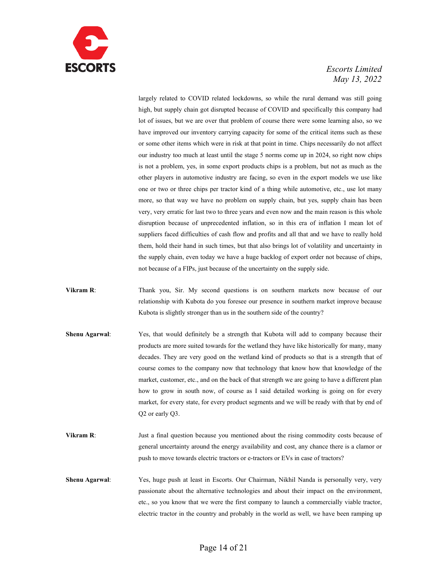

largely related to COVID related lockdowns, so while the rural demand was still going high, but supply chain got disrupted because of COVID and specifically this company had lot of issues, but we are over that problem of course there were some learning also, so we have improved our inventory carrying capacity for some of the critical items such as these or some other items which were in risk at that point in time. Chips necessarily do not affect our industry too much at least until the stage 5 norms come up in 2024, so right now chips is not a problem, yes, in some export products chips is a problem, but not as much as the other players in automotive industry are facing, so even in the export models we use like one or two or three chips per tractor kind of a thing while automotive, etc., use lot many more, so that way we have no problem on supply chain, but yes, supply chain has been very, very erratic for last two to three years and even now and the main reason is this whole disruption because of unprecedented inflation, so in this era of inflation I mean lot of suppliers faced difficulties of cash flow and profits and all that and we have to really hold them, hold their hand in such times, but that also brings lot of volatility and uncertainty in the supply chain, even today we have a huge backlog of export order not because of chips, not because of a FIPs, just because of the uncertainty on the supply side.

- **Vikram R**: Thank you, Sir. My second questions is on southern markets now because of our relationship with Kubota do you foresee our presence in southern market improve because Kubota is slightly stronger than us in the southern side of the country?
- **Shenu Agarwal**: Yes, that would definitely be a strength that Kubota will add to company because their products are more suited towards for the wetland they have like historically for many, many decades. They are very good on the wetland kind of products so that is a strength that of course comes to the company now that technology that know how that knowledge of the market, customer, etc., and on the back of that strength we are going to have a different plan how to grow in south now, of course as I said detailed working is going on for every market, for every state, for every product segments and we will be ready with that by end of Q2 or early Q3.
- **Vikram R:** Just a final question because you mentioned about the rising commodity costs because of general uncertainty around the energy availability and cost, any chance there is a clamor or push to move towards electric tractors or e-tractors or EVs in case of tractors?
- **Shenu Agarwal**: Yes, huge push at least in Escorts. Our Chairman, Nikhil Nanda is personally very, very passionate about the alternative technologies and about their impact on the environment, etc., so you know that we were the first company to launch a commercially viable tractor, electric tractor in the country and probably in the world as well, we have been ramping up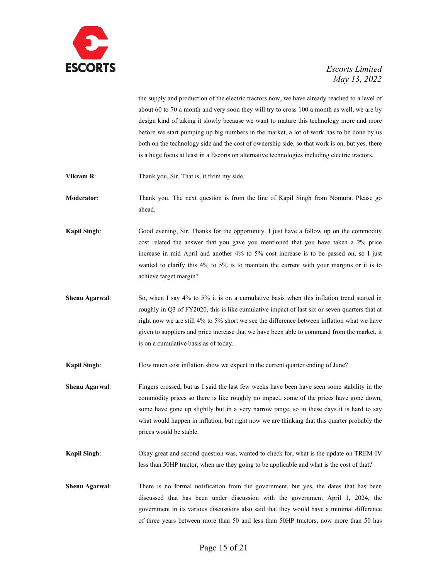

the supply and production of the electric tractors now, we have already reached to a level of about 60 to 70 a month and very soon they will try to cross 100 a month as well, we are by design kind of taking it slowly because we want to mature this technology more and more before we start pumping up big numbers in the market, a lot of work has to be done by us both on the technology side and the cost of ownership side, so that work is on, but yes, there is a huge focus at least in a Escorts on alternative technologies including electric tractors.

**Vikram R:** Thank you, Sir. That is, it from my side.

**Moderator**: Thank you. The next question is from the line of Kapil Singh from Nomura. Please go ahead.

**Kapil Singh**: Good evening, Sir. Thanks for the opportunity. I just have a follow up on the commodity cost related the answer that you gave you mentioned that you have taken a 2% price increase in mid April and another 4% to 5% cost increase is to be passed on, so I just wanted to clarify this 4% to 5% is to maintain the current with your margins or it is to achieve target margin?

**Shenu Agarwal:** So, when I say 4% to 5% it is on a cumulative basis when this inflation trend started in roughly in Q3 of FY2020, this is like cumulative impact of last six or seven quarters that at right now we are still 4% to 5% short we see the difference between inflation what we have given to suppliers and price increase that we have been able to command from the market, it is on a cumulative basis as of today.

**Kapil Singh:** How much cost inflation show we expect in the current quarter ending of June?

**Shenu Agarwal:** Fingers crossed, but as I said the last few weeks have been have seen some stability in the commodity prices so there is like roughly no impact, some of the prices have gone down, some have gone up slightly but in a very narrow range, so in these days it is hard to say what would happen in inflation, but right now we are thinking that this quarter probably the prices would be stable.

**Kapil Singh**: Okay great and second question was, wanted to check for, what is the update on TREM-IV less than 50HP tractor, when are they going to be applicable and what is the cost of that?

**Shenu Agarwal:** There is no formal notification from the government, but yes, the dates that has been discussed that has been under discussion with the government April 1, 2024, the government in its various discussions also said that they would have a minimal difference of three years between more than 50 and less than 50HP tractors, now more than 50 has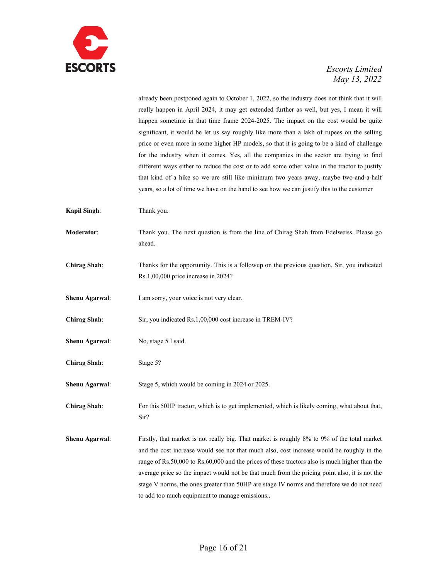

already been postponed again to October 1, 2022, so the industry does not think that it will really happen in April 2024, it may get extended further as well, but yes, I mean it will happen sometime in that time frame 2024-2025. The impact on the cost would be quite significant, it would be let us say roughly like more than a lakh of rupees on the selling price or even more in some higher HP models, so that it is going to be a kind of challenge for the industry when it comes. Yes, all the companies in the sector are trying to find different ways either to reduce the cost or to add some other value in the tractor to justify that kind of a hike so we are still like minimum two years away, maybe two-and-a-half years, so a lot of time we have on the hand to see how we can justify this to the customer **Kapil Singh**: Thank you. **Moderator**: Thank you. The next question is from the line of Chirag Shah from Edelweiss. Please go ahead. **Chirag Shah**: Thanks for the opportunity. This is a followup on the previous question. Sir, you indicated Rs.1,00,000 price increase in 2024? **Shenu Agarwal:** I am sorry, your voice is not very clear. **Chirag Shah**: Sir, you indicated Rs.1,00,000 cost increase in TREM-IV? **Shenu Agarwal:** No, stage 5 I said. **Chirag Shah**: Stage 5? **Shenu Agarwal**: Stage 5, which would be coming in 2024 or 2025. **Chirag Shah**: For this 50HP tractor, which is to get implemented, which is likely coming, what about that, Sir? **Shenu Agarwal:** Firstly, that market is not really big. That market is roughly 8% to 9% of the total market and the cost increase would see not that much also, cost increase would be roughly in the range of Rs.50,000 to Rs.60,000 and the prices of these tractors also is much higher than the average price so the impact would not be that much from the pricing point also, it is not the stage V norms, the ones greater than 50HP are stage IV norms and therefore we do not need to add too much equipment to manage emissions..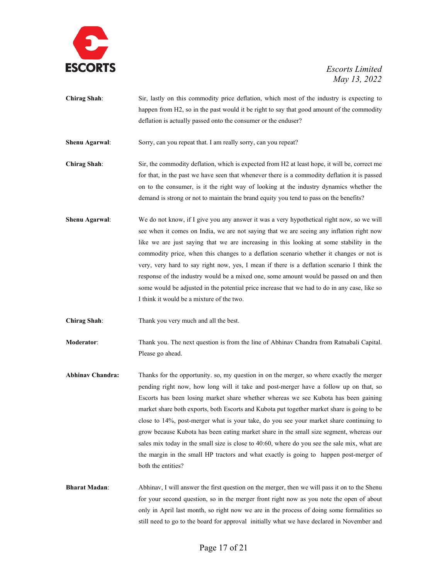

- **Chirag Shah**: Sir, lastly on this commodity price deflation, which most of the industry is expecting to happen from H2, so in the past would it be right to say that good amount of the commodity deflation is actually passed onto the consumer or the enduser?
- **Shenu Agarwal:** Sorry, can you repeat that. I am really sorry, can you repeat?
- **Chirag Shah**: Sir, the commodity deflation, which is expected from H2 at least hope, it will be, correct me for that, in the past we have seen that whenever there is a commodity deflation it is passed on to the consumer, is it the right way of looking at the industry dynamics whether the demand is strong or not to maintain the brand equity you tend to pass on the benefits?
- **Shenu Agarwal:** We do not know, if I give you any answer it was a very hypothetical right now, so we will see when it comes on India, we are not saying that we are seeing any inflation right now like we are just saying that we are increasing in this looking at some stability in the commodity price, when this changes to a deflation scenario whether it changes or not is very, very hard to say right now, yes, I mean if there is a deflation scenario I think the response of the industry would be a mixed one, some amount would be passed on and then some would be adjusted in the potential price increase that we had to do in any case, like so I think it would be a mixture of the two.
- **Chirag Shah**: Thank you very much and all the best.
- **Moderator**: Thank you. The next question is from the line of Abhinav Chandra from Ratnabali Capital. Please go ahead.
- **Abhinav Chandra:** Thanks for the opportunity. so, my question in on the merger, so where exactly the merger pending right now, how long will it take and post-merger have a follow up on that, so Escorts has been losing market share whether whereas we see Kubota has been gaining market share both exports, both Escorts and Kubota put together market share is going to be close to 14%, post-merger what is your take, do you see your market share continuing to grow because Kubota has been eating market share in the small size segment, whereas our sales mix today in the small size is close to 40:60, where do you see the sale mix, what are the margin in the small HP tractors and what exactly is going to happen post-merger of both the entities?
- **Bharat Madan**: Abhinav, I will answer the first question on the merger, then we will pass it on to the Shenu for your second question, so in the merger front right now as you note the open of about only in April last month, so right now we are in the process of doing some formalities so still need to go to the board for approval initially what we have declared in November and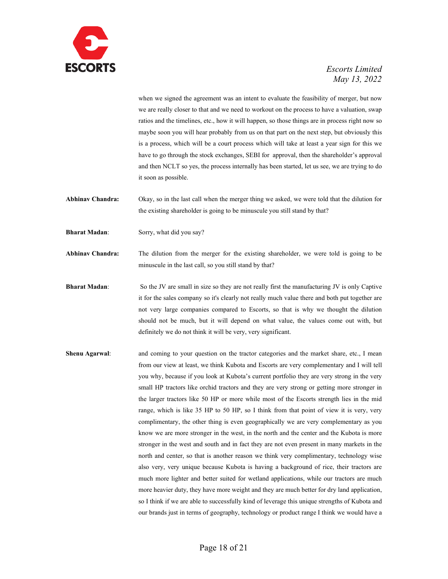

when we signed the agreement was an intent to evaluate the feasibility of merger, but now we are really closer to that and we need to workout on the process to have a valuation, swap ratios and the timelines, etc., how it will happen, so those things are in process right now so maybe soon you will hear probably from us on that part on the next step, but obviously this is a process, which will be a court process which will take at least a year sign for this we have to go through the stock exchanges, SEBI for approval, then the shareholder's approval and then NCLT so yes, the process internally has been started, let us see, we are trying to do it soon as possible.

**Abhinav Chandra:** Okay, so in the last call when the merger thing we asked, we were told that the dilution for the existing shareholder is going to be minuscule you still stand by that?

**Bharat Madan:** Sorry, what did you say?

**Abhinav Chandra:** The dilution from the merger for the existing shareholder, we were told is going to be minuscule in the last call, so you still stand by that?

**Bharat Madan:** So the JV are small in size so they are not really first the manufacturing JV is only Captive it for the sales company so it's clearly not really much value there and both put together are not very large companies compared to Escorts, so that is why we thought the dilution should not be much, but it will depend on what value, the values come out with, but definitely we do not think it will be very, very significant.

**Shenu Agarwal:** and coming to your question on the tractor categories and the market share, etc., I mean from our view at least, we think Kubota and Escorts are very complementary and I will tell you why, because if you look at Kubota's current portfolio they are very strong in the very small HP tractors like orchid tractors and they are very strong or getting more stronger in the larger tractors like 50 HP or more while most of the Escorts strength lies in the mid range, which is like 35 HP to 50 HP, so I think from that point of view it is very, very complimentary, the other thing is even geographically we are very complementary as you know we are more stronger in the west, in the north and the center and the Kubota is more stronger in the west and south and in fact they are not even present in many markets in the north and center, so that is another reason we think very complimentary, technology wise also very, very unique because Kubota is having a background of rice, their tractors are much more lighter and better suited for wetland applications, while our tractors are much more heavier duty, they have more weight and they are much better for dry land application, so I think if we are able to successfully kind of leverage this unique strengths of Kubota and our brands just in terms of geography, technology or product range I think we would have a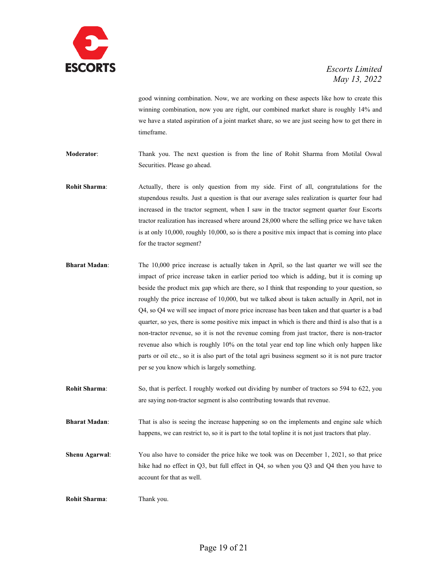

good winning combination. Now, we are working on these aspects like how to create this winning combination, now you are right, our combined market share is roughly 14% and we have a stated aspiration of a joint market share, so we are just seeing how to get there in timeframe.

- **Moderator**: Thank you. The next question is from the line of Rohit Sharma from Motilal Oswal Securities. Please go ahead.
- **Rohit Sharma:** Actually, there is only question from my side. First of all, congratulations for the stupendous results. Just a question is that our average sales realization is quarter four had increased in the tractor segment, when I saw in the tractor segment quarter four Escorts tractor realization has increased where around 28,000 where the selling price we have taken is at only 10,000, roughly 10,000, so is there a positive mix impact that is coming into place for the tractor segment?
- **Bharat Madan**: The 10,000 price increase is actually taken in April, so the last quarter we will see the impact of price increase taken in earlier period too which is adding, but it is coming up beside the product mix gap which are there, so I think that responding to your question, so roughly the price increase of 10,000, but we talked about is taken actually in April, not in Q4, so Q4 we will see impact of more price increase has been taken and that quarter is a bad quarter, so yes, there is some positive mix impact in which is there and third is also that is a non-tractor revenue, so it is not the revenue coming from just tractor, there is non-tractor revenue also which is roughly 10% on the total year end top line which only happen like parts or oil etc., so it is also part of the total agri business segment so it is not pure tractor per se you know which is largely something.
- **Rohit Sharma:** So, that is perfect. I roughly worked out dividing by number of tractors so 594 to 622, you are saying non-tractor segment is also contributing towards that revenue.
- **Bharat Madan**: That is also is seeing the increase happening so on the implements and engine sale which happens, we can restrict to, so it is part to the total topline it is not just tractors that play.
- **Shenu Agarwal:** You also have to consider the price hike we took was on December 1, 2021, so that price hike had no effect in Q3, but full effect in Q4, so when you Q3 and Q4 then you have to account for that as well.

**Rohit Sharma**: Thank you.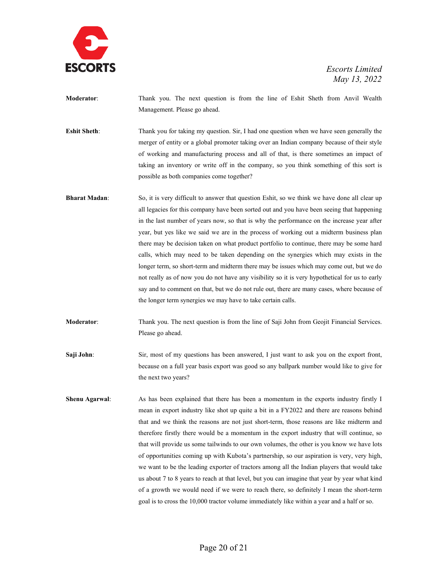

**Moderator**: Thank you. The next question is from the line of Eshit Sheth from Anvil Wealth Management. Please go ahead.

**Eshit Sheth**: Thank you for taking my question. Sir, I had one question when we have seen generally the merger of entity or a global promoter taking over an Indian company because of their style of working and manufacturing process and all of that, is there sometimes an impact of taking an inventory or write off in the company, so you think something of this sort is possible as both companies come together?

**Bharat Madan:** So, it is very difficult to answer that question Eshit, so we think we have done all clear up all legacies for this company have been sorted out and you have been seeing that happening in the last number of years now, so that is why the performance on the increase year after year, but yes like we said we are in the process of working out a midterm business plan there may be decision taken on what product portfolio to continue, there may be some hard calls, which may need to be taken depending on the synergies which may exists in the longer term, so short-term and midterm there may be issues which may come out, but we do not really as of now you do not have any visibility so it is very hypothetical for us to early say and to comment on that, but we do not rule out, there are many cases, where because of the longer term synergies we may have to take certain calls.

**Moderator**: Thank you. The next question is from the line of Saji John from Geojit Financial Services. Please go ahead.

- **Saji John:** Sir, most of my questions has been answered, I just want to ask you on the export front, because on a full year basis export was good so any ballpark number would like to give for the next two years?
- **Shenu Agarwal**: As has been explained that there has been a momentum in the exports industry firstly I mean in export industry like shot up quite a bit in a FY2022 and there are reasons behind that and we think the reasons are not just short-term, those reasons are like midterm and therefore firstly there would be a momentum in the export industry that will continue, so that will provide us some tailwinds to our own volumes, the other is you know we have lots of opportunities coming up with Kubota's partnership, so our aspiration is very, very high, we want to be the leading exporter of tractors among all the Indian players that would take us about 7 to 8 years to reach at that level, but you can imagine that year by year what kind of a growth we would need if we were to reach there, so definitely I mean the short-term goal is to cross the 10,000 tractor volume immediately like within a year and a half or so.